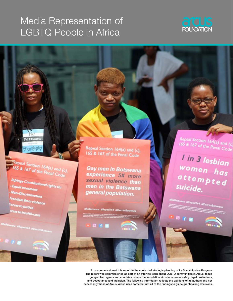# Media Representation of LGBTQ People in Africa



Repeal Section 164(a) and (c),<br>165 & 167 of the Penal Code

Bats

් ගුලි @

**Infringe Constitutional rights to:**<br>- Equal treatment - Equal treatment - Non-Discrimination<br>Freed Freedom from violence lccess to justice cess to health-care

Repeal Section 164(a) and (c), 165 & 167 of the Penal Code

Gay men in Botswana experience 5X more sexual violence than men in the Batswana general population.

ana #Repeal164 #DecrimBor

Repeal Section 164(a) and (c)<br>165 & 167 of the Penal Code

I in 3 lesbian women has attempted suicide.

eal164 MDe

Arcus commissioned this report in the context of strategic planning of its Social Justice Program. The report was commissioned as part of an effort to learn about LGBTQ communities in Arcus' focus geographic regions and countries, where the foundation aims to increase safety, legal protections, and acceptance and inclusion. The following information reflects the opinions of its authors and not necessarily those of Arcus. Arcus uses some but not all of the findings to guide grantmaking decisions.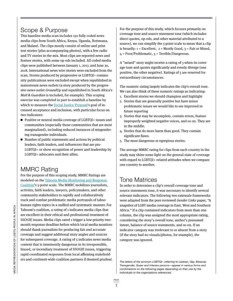# Scope & Purpose

This baseline media scan includes 150 fully coded news media clips from South Africa, Kenya, Uganda, Botswana, and Malawi. The clips mostly consist of online and print text stories (plus accompanying photos), with a few radio and TV stories in the mix. Most clips are reported news and feature stories, with some op-eds included. All coded media clips were published between January 1, 2017, and June 30, 2018. International news wire stories were excluded from the scan. Stories produced by progressive or LGBTQI+ community publications were excluded except when republished in mainstream news outlets (a story produced by the progressive news outlet GroundUp and republished in South Africa's Mail & Guardian is included, for example). This scoping exercise was completed in part to establish a baseline by which to measure the [Social Justice Program'](https://www.arcusfoundation.org/our-support/social-justice-lgbt/)s goal of increased acceptance and inclusion, with particular focus on two indicators:

- Positive or neutral media coverage of LGBTQI+ issues and communities (especially those communities that are most marginalized), including reduced instances of misgendering transgender individuals.
- $\blacksquare$  Number of public statements and actions by political leaders, faith leaders, and influencers that are pro-LGBTQI+ or show recognition of power and leadership by LGBTQI+ advocates and their allies.

# MMRC Rating

For the purpose of this scoping study, MMRC Ratings are modeled on the [Taboom Media Monitoring and Response](https://taboommedia.com/portfolio/media-monitoring-response/)  [Coalition'](https://taboommedia.com/portfolio/media-monitoring-response/)s 5-point scale. The MMRC mobilizes journalists, activists, faith leaders, lawyers, policymakers, and other community stakeholders to rapidly and collaboratively track and combat problematic media portrayals of taboo human rights topics in a unified and systematic manner. For Taboom's coalition, a rating of 1 indicates media clips that are excellent in their ethical and professional treatment of SSOGIE issues. Media clips rated 1 trigger a low-priority twomonth response deadline before which local media monitors should thank journalists for producing fair and accurate coverage and suggest additional story angles and sources for subsequent coverage. A rating of 5 indicates news media content that is imminently dangerous in its irresponsible, biased, or incendiary treatment of SSOGIE issues, triggering rapid coordinated responses from local affirming stakeholders and continent-wide coalition partners if deemed prudent. For the purpose of this study, which focuses primarily on coverage tone and source statement tone (which includes direct quotes, op-eds, and other material attributed to a source), we can simplify the 5-point scale to mean that a clip is broadly:  $1 =$  Excellent,  $2 =$  Mostly Good,  $3 =$  Fair or Mixed,  $4 = Poor/Problematic, 5 = Terrible/Dangerous.$ 

A "mixed" story might receive a rating of 3 when its coverage tone and quotes significantly and evenly diverge (one positive, the other negative). Ratings of 5 are reserved for extraordinary circumstances.

The numeric rating largely indicates the clip's overall tone. We can also think of these numeric ratings as indicating:

- 1. Excellent stories we should champion and highlight
- 2. Stories that are generally positive but have minor problematic issues we would like to see improved in future reporting
- 3. Stories that may be incomplete, contain errors, feature improperly weighted negative voices, and so on. They are in the middle.
- 4. Stories that do more harm than good. They contain significant flaws.
- 5. The most dangerous or egregious stories.

The average MMRC rating for clips from each country in the study may shine some light on the general state of coverage with regard to LGBTQI+-related attitudes when we compare one country to another.

# Tone Matrices

In order to determine a clip's overall coverage tone and source statements tone, it was necessary to identify several relevant indicators. The following two rationale frameworks were adapted from the peer-reviewed Gender Links paper, "A snapshot of LGBT media coverage in East, West and Southern Africa." If a clip contained indicators from more than one column, the clip was assigned the most appropriate rating, considering the story's overall tone, author's presumed intent, balance of source statements, and so on. If an indicator category was irrelevant to or absent from a story (if the story had no visuals/photos, for example), the category was ignored.

*The letters of the acronym LGBTQI—referring to Lesbian, Gay, Bisexual, Transgender, Queer and Intersex persons—appear in various forms and combinations on the following pages depending on their use by the individuals or the organizations referenced.*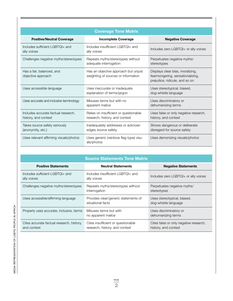| <b>Coverage Tone Matrix</b>                                 |                                                                             |                                                                                                        |  |  |  |  |  |  |
|-------------------------------------------------------------|-----------------------------------------------------------------------------|--------------------------------------------------------------------------------------------------------|--|--|--|--|--|--|
| <b>Positive/Neutral Coverage</b>                            | <b>Incomplete Coverage</b>                                                  | <b>Negative Coverage</b>                                                                               |  |  |  |  |  |  |
| Includes sufficient LGBTQI+ and<br>ally voices              | Includes insufficient LGBTQI+ and<br>ally voices                            | Includes zero LGBTQI+ or ally voices                                                                   |  |  |  |  |  |  |
| Challenges negative myths/stereotypes                       | Repeats myths/stereotypes without<br>adequate interrogation                 | Perpetuates negative myths/<br>stereotypes                                                             |  |  |  |  |  |  |
| Has a fair, balanced, and<br>objective approach             | Has an objective approach but unjust<br>weighting of sources or information | Displays clear bias, moralizing,<br>fearmongering, sensationalizing,<br>prejudice, ridicule, and so on |  |  |  |  |  |  |
| Uses accessible language                                    | Uses inaccurate or inadequate<br>explanation of terms/jargon                | Uses stereotypical, biased,<br>dog-whistle language                                                    |  |  |  |  |  |  |
| Uses accurate and inclusive terminology                     | Misuses terms but with no<br>apparent malice                                | Uses discriminatory or<br>dehumanizing terms                                                           |  |  |  |  |  |  |
| Includes accurate factual research,<br>history, and context | Relies on insufficient or questionable<br>research, history, and context    | Uses false or only negative research,<br>history, and context                                          |  |  |  |  |  |  |
| Takes source safety seriously<br>(anonymity, etc.)          | Inadequately addresses or acknowl-<br>edges source safety.                  | Shows dangerous or deliberate<br>disregard for source safety                                           |  |  |  |  |  |  |
| Uses relevant affirming visuals/photos                      | Uses generic (rainbow flag-type) visu-<br>als/photos                        | Uses demonizing visuals/photos                                                                         |  |  |  |  |  |  |

| <b>Source Statements Tone Matrix</b>                     |                                                                      |                                                                |  |  |  |  |  |
|----------------------------------------------------------|----------------------------------------------------------------------|----------------------------------------------------------------|--|--|--|--|--|
| <b>Positive Statements</b>                               | <b>Neutral Statements</b>                                            | <b>Negative Statements</b>                                     |  |  |  |  |  |
| Includes sufficient LGBTQI+ and<br>ally voices           | Includes insufficient LGBTQI+ and<br>ally voices                     | Includes zero LGBTQI+ or ally voices                           |  |  |  |  |  |
| Challenges negative myths/stereotypes                    | Repeats myths/stereotypes without<br>interrogation                   | Perpetuates negative myths/<br>stereotypes                     |  |  |  |  |  |
| Uses accessible/affirming language                       | Provides clear/generic statements of<br>situational facts            | Uses stereotypical, biased,<br>dog-whistle language            |  |  |  |  |  |
| Properly uses accurate, inclusive, terms                 | Misuses terms but with<br>no apparent malice                         | Uses discriminatory or<br>dehumanizing terms                   |  |  |  |  |  |
| Cites accurate factual research, history,<br>and context | Cites insufficient or questionable<br>research, history, and context | Cites false or only negative research,<br>history, and context |  |  |  |  |  |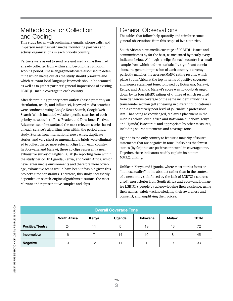# Methodology for Collection and Coding

This study began with preliminary emails, phone calls, and in-person meetings with media monitoring partners and activist organizations in each priority country.

Partners were asked to send relevant media clips they had already collected from within and beyond the 18-month scoping period. These engagements were also used to determine which media outlets the study should prioritize and which relevant local-language keywords should be scanned as well as to gather partners' general impressions of existing LGBTQI+ media coverage in each country.

After determining priority news outlets (based primarily on circulation, reach, and influence), keyword media searches were conducted using Google News Search, Google Web Search (which included website-specific searches of each priority news outlet), PressReader, and Dow Jones Factiva. Advanced searches surfaced the most relevant stories based on each service's algorithm from within the period under study. Stories from international news wires, duplicate stories, and very short or unremarkable briefs were eliminated to collect the 40 most relevant clips from each country. In Botswana and Malawi, these 40 clips represent a near exhaustive survey of English LGBTQI+ reporting from within the study period. In Uganda, Kenya, and South Africa, which have larger media environments and therefore more coverage, exhaustive scans would have been infeasible given this project's time constraints. Therefore, this study necessarily depended on search-engine algorithms to surface the most relevant and representative samples and clips.

# General Observations

The tables that follow help quantify and reinforce some general observations from this scope of five countries.

South African news media coverage of LGBTQI+ issues and communities is by far the best, as measured by nearly every indicator below. Although 30 clips for each country is a small sample from which to draw statistically significant conclusions, the general impression of each country's coverage perfectly matches the average MMRC rating results, which place South Africa at the top in terms of positive coverage and source statement tone, followed by Botswana, Malawi, Kenya, and Uganda. Malawi's score was no doubt dragged down by its four MMRC ratings of 5, three of which resulted from dangerous coverage of the same incident involving a transgender woman (all appearing in different publications) and a comparatively poor level of journalistic professionalism. That being acknowledged, Malawi's placement in the middle (below South Africa and Botswana but above Kenya and Uganda) is accurate and appropriate by other measures, including source statements and coverage tone.

Uganda is the only country to feature a majority of source statements that are negative in tone. It also has the fewest stories (by far) that are positive or neutral in coverage tone. Together, these indicators readily explain its bottom MMRC ranking.

Unlike in Kenya and Uganda, where most stories focus on "homosexuality" in the abstract rather than in the context of a news story (reinforced by the lack of LGBTQI+ sources cited), most stories from South Africa and Botswana humanize LGBTQI+ people by acknowledging their existence, using their names (safely—acknowledging their awareness and consent), and amplifying their voices.

### **Overall Coverage Tone**

|                         | <b>South Africa</b> | Kenya | Uganda | <b>Botswana</b> | Malawi | <b>TOTAL</b> |
|-------------------------|---------------------|-------|--------|-----------------|--------|--------------|
| <b>Positive/Neutral</b> | 24                  | 11    | 5      | 19              | 13     | 72           |
| Incomplete              | 6                   |       | 14     | 10              | 8      | 45           |
| <b>Negative</b>         | O                   | 12    |        |                 | 9      | 33           |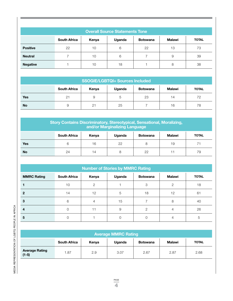| <b>Overall Source Statements Tone</b> |                     |       |        |                 |               |              |  |
|---------------------------------------|---------------------|-------|--------|-----------------|---------------|--------------|--|
|                                       | <b>South Africa</b> | Kenya | Uganda | <b>Botswana</b> | <b>Malawi</b> | <b>TOTAL</b> |  |
| <b>Positive</b>                       | 22                  | 10    | 6      | 22              | 13            | 73           |  |
| <b>Neutral</b>                        |                     | 10    | 6      |                 | 9             | 39           |  |
| <b>Negative</b>                       |                     | 10    | 18     |                 | 8             | 38           |  |

| <b>SSOGIE/LGBTQI+ Sources Included</b> |                     |       |        |                 |               |              |  |
|----------------------------------------|---------------------|-------|--------|-----------------|---------------|--------------|--|
|                                        | <b>South Africa</b> | Kenya | Uganda | <b>Botswana</b> | <b>Malawi</b> | <b>TOTAL</b> |  |
| <b>Yes</b>                             | 21                  | 9     | 5      | 23              | 14            | 72           |  |
| <b>No</b>                              | 9                   | 21    | 25     |                 | 16            | 78           |  |

| <b>Story Contains Discriminatory, Stereotypical, Sensational, Moralizing,</b><br>and/or Marginalizing Language |    |    |    |    |    |    |  |
|----------------------------------------------------------------------------------------------------------------|----|----|----|----|----|----|--|
| <b>Malawi</b><br><b>South Africa</b><br><b>TOTAL</b><br>Uganda<br>Kenya<br><b>Botswana</b>                     |    |    |    |    |    |    |  |
| Yes                                                                                                            | 6  | 16 | 22 | 8  | 19 |    |  |
| <b>No</b>                                                                                                      | 24 | 14 | 8  | 22 |    | 79 |  |

| <b>Number of Stories by MMRC Rating</b> |                     |                |        |                 |               |              |  |  |
|-----------------------------------------|---------------------|----------------|--------|-----------------|---------------|--------------|--|--|
| <b>MMRC Rating</b>                      | <b>South Africa</b> | Kenya          | Uganda | <b>Botswana</b> | Malawi        | <b>TOTAL</b> |  |  |
|                                         | 10                  | $\overline{2}$ |        | 3               | $\mathcal{P}$ | 18           |  |  |
| $\mathbf{2}$                            | 14                  | 12             | 5      | 18              | 12            | 61           |  |  |
| 3                                       | 6                   | 4              | 15     |                 | 8             | 40           |  |  |
| 4                                       | 0                   | 11             | 9      | 2               | 4             | 26           |  |  |
| 5                                       | Ω                   |                | ∩      |                 |               | 5            |  |  |

| <b>Average MMRC Rating</b>       |                     |       |        |                 |               |              |  |
|----------------------------------|---------------------|-------|--------|-----------------|---------------|--------------|--|
|                                  | <b>South Africa</b> | Kenya | Uganda | <b>Botswana</b> | <b>Malawi</b> | <b>TOTAL</b> |  |
| <b>Average Rating</b><br>$(1-5)$ | 1.87                | 2.9   | 3.07   | 2.67            | 2.87          | 2.68         |  |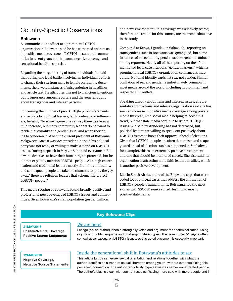# Country-Specific Observations

### **Botswana**

A communications officer at a prominent LGBTQI+ organization in Botswana said he has witnessed an increase in positive media coverage of LGBTQI+ issues and communities in recent years but that some negative coverage and sensational headlines persist.

Regarding the misgendering of trans individuals, he said that during one legal battle involving an individual's efforts to change their sex from male to female on identity documents, there were instances of misgendering in headlines and article text. He attributes this not to malicious intentions but to ignorance among reporters and the general public about transgender and intersex persons.

Concerning the number of pro-LGBTQI+ public statements and actions by political leaders, faith leaders, and influencers, he said, "To some degree one can say there has been a mild increase, but many community leaders do not want to tackle the sexuality and gender issue, and when they do, it's to condemn it. When the current president of Botswana Mokgweetsi Masisi was vice president, he said his political party was not ready or willing to make a stand on LGBTQI+ issues. During a speech in May 2018, he said everyone in Botswana deserves to have their human rights protected, but he did not explicitly mention LGBTQI+ people. Although church leaders and traditional leaders mostly shun the community, and some queer people are taken to churches to 'pray the gay away,' there are religious leaders that vehemently protect LGBTQI+ people."

This media scoping of Botswana found broadly positive and professional news coverage of LGBTQI+ issues and communities. Given Botswana's small population (just 2.3 million)

and news environment, this coverage was relatively scarce; therefore, the results for this country are the most exhaustive in the study.

Compared to Kenya, Uganda, or Malawi, the reporting on transgender issues in Botswana was quite good, but some instances of misgendering persist, as does general confusion among reporters. Nearly all of the reporting on the aforementioned legal case mentions "gender markers," which a prominent local LGBTQI+ organization confirmed is inaccurate. National identity cards list sex, not gender. Similar conflation of sex and gender is unfortunately common in most media around the world, including in prominent and respected U.S. outlets.

Speaking directly about trans and intersex issues, a representative from a trans and intersex organization said she has seen an increase in positive media coverage among private media this year, with social media helping to boost this trend, but that state media continue to ignore LGBTQI+ issues. She said misgendering has not decreased, but political leaders are willing to speak out positively about LGBTQI+ issues to boost their approval ahead of elections. Given that LGBTQI+ people are often demonized and scapegoated ahead of elections (as has happened in Zimbabwe, for example), this is an extremely positive development and one that should be monitored closely. She also said her organization is attracting more faith leaders as allies, which is another positive development.

Like in South Africa, many of the Botswana clips that were coded focus on legal cases that address the affirmation of LGBTQI+ people's human rights. Botswana had the most stories with SSOGIE sources cited, leading to mostly positive statements.

### **Key Botswana Clips**

## **21MAY2018**

**Positive/Neutral Coverage, Positive Source Statements**

## [We are here!](https://taboommrc.com/clip/we-are-here/)

Lesego (op-ed author) lends a strong ally voice and argument for decriminalization, using dignity and rights language and challenging stereotypes. The news outlet *Mmegi* is often somewhat sensational on LGBTQI+ issues, so this op-ed placement is especially important.

**Negative Coverage, Negative Source Statements**

# **INSIDE CONSERVERTED MEDIA INSIDE IS A 12MAR2018 [Inside the generational shift in Botswana's attitudes to sex](https://taboommrc.com/clip/inside-the-generational-shift-in-botswanas-attitudes-to-sex/)**

This article lumps same-sex sexual orientation and relations together with what the author identifies as a trend of sexual liberation among youth, without ever explaining this perceived connection. The author reductively hypersexualizes same-sex-attracted people. The author's bias is clear, with such phrases as "having more sex, with more people and in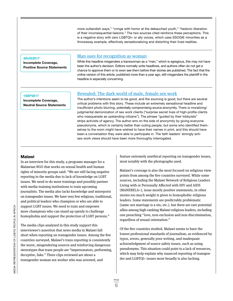more outlandish ways," "cringe with horror at the debauched youth," "hedonic liberation of their inconsequential liaisons." The two sources cited reinforce these perceptions. This is a negative story with zero LGBTQI+ or ally voices, which uses SSOGIE minorities as a throwaway example, effectively sensationalizing and distorting their lived realities.

### **3AUG2017**

**Incomplete Coverage, Positive Source Statements**

### [Man sues for recognition as woman](https://taboommrc.com/clip/man-sues-for-recognition-as-woman/)

While this headline misgenders a transwoman as a "man," which is egregious, this may not have been the author's decision. Editors normally write headlines, and authors often do not get a chance to approve them or to even see them before their stories are published. The fact that the online version of this article, published more than a year ago, still misgenders the plaintiff in the headline is especially concerning.

### **1SEP2017**

**Incomplete Coverage, Neutral Source Statements**

# [Revealed: The dark world of male, female sex work](https://taboommrc.com/clip/revealed-the-dark-world-of-male-female-sex-work/)

The author's intentions seem to be good, and the sourcing is good, but there are several critical problems with this story. These include an extremely sensational headline and insufficient photo blurring, potentially compromising source anonymity. There is moralizing/ judgmental demonization of sex work clients ("surprise secret lives of high-profile clients who masquerade as upstanding citizens"). The phrase "guided by their lobbyists" strips activists of agency. The author errs on the side of anonymity by giving everyone pseudonyms, which is certainly better than outing people, but some who identified themselves to the room might have wished to have their names in print, and this should have been a conversation they were able to participate in. The faith leaders' strongly antisex-work views should have been more thoroughly interrogated.

### **Malawi**

In an interview for this study, a programs manager for a Malawian NGO that works on sexual health and human rights of minority groups said: "We are still facing negative reporting in the media due to lack of knowledge on LGBT issues. We need to do more trainings and possibly partner with media-training institutions to train upcoming journalists. The media also lacks knowledge and misreports on transgender issues. We have very few religious, traditional, and political leaders who champion or who are able to support LGBT issues. We need to train and empower more champions who can stand up openly to challenge homophobia and support the protection of LGBT persons."

The media clips analyzed in this study support this interviewee's assertion that news media in Malawi fall short when reporting on transgender issues. Among the five countries surveyed, Malawi's trans reporting is consistently the worst, misgendering sources and reinforcing dangerous stereotypes that trans people are "impersonators, performing, deceptive, fake." Three clips reviewed are about a transgender woman sex worker who was arrested, and

feature extremely unethical reporting on transgender issues, most notably with the photographs used.

Malawi's coverage is also the most focused on religious viewpoints from among the five countries surveyed. While some sources, including the Malawi Network of Religious Leaders Living with or Personally Affected with HIV and AIDS (MANERELA+), issue mostly positive statements, in other stories too much weight is given to homophobic religious leaders. Some statements are predictably problematic (same-sex marriage is a sin, etc.), but there are rare potential allies among high-ranking Malawi religious leaders, including one preaching "love, non-exclusion and non-discrimination, regardless of sexual orientation."

Of the five countries studied, Malawi seems to have the lowest professional standards of journalism, as evidenced by typos, errors, generally poor writing, and inadequate acknowledgment of source safety issues, such as using pseudonyms. This situation could point to a lack of resources, which may help explain why nuanced reporting of transgender and LGBTQI+ issues more broadly is also lacking.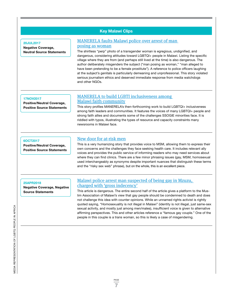## **Key Malawi Clips**

### **20JUL2017**

**Negative Coverage, Neutral Source Statements**

### [MANERELA faults Malawi police over arrest of man](https://taboommrc.com/clip/manerela-faults-malawi-police-over-arrest-of-man-posing-as-woman/)  [posing as woman](https://taboommrc.com/clip/manerela-faults-malawi-police-over-arrest-of-man-posing-as-woman/)

The shirtless "perp" photo of a transgender woman is egregious, undignified, and dangerous, considering attitudes toward LGBTQI+ people in Malawi. Listing the specific village where they are from (and perhaps still lived at the time) is also dangerous. The author deliberately misgenders the subject ("man posing as woman," "man alleged to have been pretending to be a female prostitute"). A reference to police officers laughing at the subject's genitals is particularly demeaning and unprofessional. This story violated serious journalism ethics and deserved immediate response from media watchdogs and other NGOs.

### **17NOV2017**

**Positive/Neutral Coverage, Positive Source Statements**

# [MANERELA to build LGBTI inclusiveness among](https://taboommrc.com/clip/manerela-to-build-lgbti-inclusiveness-among-malawi-faith-community/)  [Malawi faith community](https://taboommrc.com/clip/manerela-to-build-lgbti-inclusiveness-among-malawi-faith-community/)

This story profiles MANERELA's then-forthcoming work to build LGBTQI+ inclusiveness among faith leaders and communities. It features the voices of many LGBTQI+ people and strong faith allies and documents some of the challenges SSOGIE minorities face. It is riddled with typos, illustrating the types of resource and capacity constraints many newsrooms in Malawi face.

### **6OCT2017**

**Positive/Neutral Coverage, Positive Source Statements**

## [New door for at-risk men](https://taboommrc.com/clip/new-door-for-at-risk-men/)

This is a very humanizing story that provides voice to MSM, allowing them to express their own concerns and the challenges they face seeking health care. It includes relevant ally voices and provides the public service of informing readers who may need services about where they can find clinics. There are a few minor phrasing issues (gay, MSM, homosexual used interchangeably as synonyms despite important nuances that distinguish these terms and the "risky sex web" phrase), but on the whole, this is an excellent piece.

### **25APR2018**

**Negative Coverage, Negative Source Statements**

## [Malawi police arrest man suspected of being gay in Mzuzu,](https://taboommrc.com/clip/malawi-police-arrest-man-suspected-of-being-gay-in-mzuzu-charged-with-gross-indecency/)  [charged with 'gross indecency'](https://taboommrc.com/clip/malawi-police-arrest-man-suspected-of-being-gay-in-mzuzu-charged-with-gross-indecency/)

This article is dangerous. The entire second half of the article gives a platform to the Muslim Association of Malawi's view that gay people should be condemned to death and does not challenge this idea with counter opinions. While an unnamed rights activist is rightly quoted saying, "Homosexuality is not illegal in Malawi" (identity is not illegal, just same-sex sexual activity, and mostly just among men/males), insufficient voice is given to alternative affirming perspectives. This and other articles reference a "famous gay couple." One of the people in this couple is a trans woman, so this is likely a case of misgendering.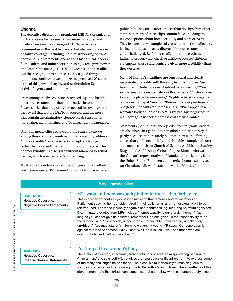## **Uganda**

The executive director of a prominent LGBTQI+ organization in Uganda says he has seen an increase in neutral and positive news media coverage of LGBTQI+ issues and communities in the past two years, but also an increase in negative coverage, including more misgendering of trans people. Public statements and actions by political leaders, faith leaders, and influencers increasingly recognize power and leadership among LGBTQI+ advocates and their allies. But this recognition is not necessarily a good thing, as opponents continue to weaponize the perceived Western roots of this power, denying and undermining Ugandan activists' agency and autonomy.

From among the five countries surveyed, Uganda has the most source statements that are negative in tone, the fewest stories that are positive or neutral in coverage tone, the fewest that feature LGBTQI+ sources, and the most that contain discriminatory, stereotypical, sensational, moralizing, marginalizing, and/or misgendering language.

Ugandan media clips retrieved in this scan are unique among those of other countries in that a majority address "homosexuality" as an abstract concept or ideology rather than a sexual orientation. In most of these articles, "homosexuality" is discussed without reference to actual people, which is extremely dehumanizing.

Most of the Ugandan articles focus on government efforts to restrict or erase SSOGIE issues from schools, prisons, and

public life. They focus more on HIV than do clips from other countries. Many of these clips contain false and dangerous misconceptions about homosexuality and MSM or WSW. They feature many examples of gross journalistic negligence, letting ridiculous or easily disprovable source statements go unchallenged. By failing to offer alternative voices, and failing to properly fact check or attribute sources' dubious statements, those statements are given more credibility than they deserve.

Many of Uganda's headlines are sensational and clearly inaccurate or at odds with the story text that follows. Such headlines include: "Gay sex-for-food rocks prisons," "Gay sex between prisons staff shocks Byabashaija," "School is no longer the place for innocents," "Rights activists are agents of the devil – Papal Nuncio," "Row erupts over purchase of Shs3b sex lubricants for homosexuals," "I'm trapped in a woman's body," "Panic as 40 MPs get pro-gay magazines in mail boxes," "Suspected homosexual activist wanted."

Statements (both quotes and op-eds) from religious leaders are also worse in Uganda than in other countries surveyed, partly because authors rarely balance them with affirming voices that challenge their hatred. Notable examples of such statements come from Church of Uganda Archbishop Stanley Ntagali and Archbishop Michael August Blume, who was the Vatican's representative to Uganda but is originally from the United States. Both men characterize homosexuality as un-Christian, evil, witchcraft, the work of the devil.

### **Key Uganda Clips**

**Negative Coverage, Negative Source Statements**

# **26APR2018** [MPs want anti-homosexuality bill re-introduced in Parliament](https://taboommrc.com/clip/mps-want-anti-homosexuality-bill-re-introduced-in-parliament/)

This is a video without any journalistic narration that features several members of Parliament spewing homophobic hatred in their calls for an anti-homosexuality bill to be reintroduced. The video is wholly negative and dehumanizing, featuring no affirming voices. Discriminatory quotes from MPs include: "homosexuality is unnatural, inhuman," "as long as you cannot give us children, remember God has given us the responsibility to be the factory," and "it's uncouth, unacceptable, unthinkable, unwarranted, uncalled for, unAfrican," "we must stand firm for who we are." A young MP says: "Our generation is against this vice of homosexuality," and "we'll do a roll call, we'll see those who are going to hide, and we'll expose them."

**Negative Coverage, Positive Source Statements**

# **10JUL2017 10JUL2017 10JUL2017 10JUL2017 10JUL2017**

The author of this story is blatantly transphobic and insists on misgendering her source ("'I'm a man,' she says softly"), yet gives that source a significant platform to express some of the many challenges he has faced. The piece is simultaneously humanizing (due to source statements) and demonizing (due to the author's awful tone). The aftereffects of this story demonstrate the serious consequences that can follow when a source's safety is not

MEDIA REPRESENTATION OF LGBTQ PEOPLE IN AFRICA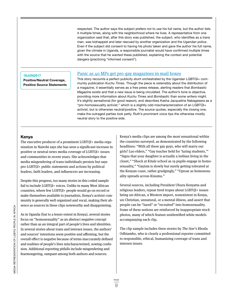respected. The author says the subject prefers not to use his full name, but the author lists it multiple times, along with the neighborhood where he lives. A representative from one organization said that, after this story was published, the subject, who identifies as a trans man, was kidnapped and later rescued by another organization and the Ugandan police. Even if the subject did consent to having his photo taken and gave the author his full name, given the climate in Uganda, a responsible journalist would have confirmed multiple times with the source that he wanted these published, explaining the context and potential dangers (practicing "informed consent").

# [Panic as 40 MPs get pro-gay magazines in mail boxes](https://taboommrc.com/clip/panic-as-40-mps-get-pro-gay-magazines-in-mail-boxes/) **16JUN2017**

**Positive/Neutral Coverage, Positive Source Statements**

This story recounts a perfect publicity stunt orchestrated by the Ugandan LGBTQI+ community publication *Kuchu Times*. Though the piece is ostensibly about the distribution of a magazine, it essentially serves as a free press release, alerting readers that *Bombastic Magazine* exists and that a new issue is being circulated. The author's tone is objective, providing more information about *Kuchu Times* and *Bombastic* than some writers might. It's slightly sensational (for good reason), and describes Kasha Jacqueline Nabagesera as a "pro-homosexuality activist," which is a slightly odd mischaracterization of an LGBTQI+ activist, but is otherwise neutral/positive. The source quotes, especially the closing one, make the outraged parties look petty. Ruth's prominent voice tips the otherwise mostly neutral story to the positive side.

### **Kenya**

The executive producer of a prominent LGBTQI+ media organization in Nairobi says she has seen a significant increase in positive or neutral news media coverage of LGBTQI+ issues and communities in recent years. She acknowledges that media misgendering of trans individuals persists but says pro-LGBTQI+ public statements and actions by political leaders, faith leaders, and influencers are increasing.

Despite this progress, too many stories in this coded sample fail to include LGBTQI+ voices. Unlike in many West African countries, where few LGBTQI+ people would go on record or make themselves available to journalists, Kenya's activist community is generally well organized and vocal, making their absence as sources in these clips noteworthy and disappointing.

As in Uganda (but to a lesser extent in Kenya), several stories focus on "homosexuality" as an abstract negative concept rather than as an integral part of people's lives and identities. In several stories about trans and intersex issues, the authors' and sources' intentions seem positive and affirming, but the overall effect is negative because of terms inaccurately defined and realities of people's lives mischaracterized, sowing confusion. Additional reporting pitfalls include misgendering and fearmongering, rampant among both authors and sources.

Kenya's media clips are among the most sensational within the countries surveyed, as demonstrated by the following headlines: "With all these gay guys, who will marry our girls? Luo elders," "Gay teacher held for 'luring students,'" "Signs that your daughter is actually a lesbian living in the closet," "Shock at Kitale school as 19 pupils engage in homosexuality," "Gayism is slowly but surely getting tolerated at the Kenyan coast, rather grudgingly," "Uproar as homosexuality spreads across Kisumu."

Several sources, including President Uhuru Kenyatta and religious leaders, repeat tired tropes about LGBTQI+ issues being un-African, a Western import, nonexistent in Kenya, un-Christian, unnatural, or a mental illness, and assert that people can be "lured" or "recruited" into homosexuality. Some of these notions are reinforced by inappropriate stock photos, many of which feature unidentified white models accompanying each clip.

The clip sample includes three stories by The Star's Rhoda Odhiambo, who is clearly a professional reporter committed to responsible, ethical, humanizing coverage of trans and intersex issues.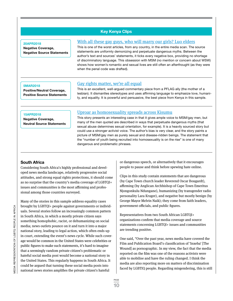# **Key Kenya Clips**

### **20APR2018**

**Negative Coverage, Negative Source Statements**

## [With all these gay guys, who will marry our girls? Luo elders](https://taboommrc.com/clip/with-all-these-gay-guys-who-will-marry-our-girls-luo-elders/)

This is one of the worst articles, from any country, in the entire media scan. The source statements are uniformly demonizing and perpetuate dangerous myths. Between the author's text and sources' statements, it ticks every negative box, providing no shortage of discriminatory language. This obsession with MSM (no mention or concern about WSW) shows how women's romantic and sexual lives are still often an afterthought (as they were when the penal code was drafted).

### **5MAR2018**

**Positive/Neutral Coverage, Positive Source Statements**

### [Gay rights matter, we're all equal](https://taboommrc.com/clip/gay-rights-matter-were-all-equal/)

This is an excellent, well-argued commentary piece from a PFLAG ally (the mother of a lesbian). It dismantles stereotypes and uses affirming language to emphasize love, humanity, and equality. It is powerful and persuasive, the best piece from Kenya in this sample.

### **15APR2018**

**Negative Coverage, Neutral Source Statements**

## [Uproar as homosexuality spreads across Kisumu](https://taboommrc.com/clip/uproar-as-homosexuality-spreads-across-kisumu/)

This story presents an interesting case in that it gives ample voice to MSM/gay men, but many of the men quoted are described in ways that perpetuate dangerous myths (that sexual abuse determines sexual orientation, for example). It is a heavily sourced story but could use a stronger activist voice. The author's bias is very clear, and the story paints a picture of MSM/gay men as purely sexual and disease-ridden beings. The statement that the "number of youth being recruited into homosexuality is on the rise" is one of many dangerous and problematic phrases.

### **South Africa**

Considering South Africa's highly professional and developed news media landscape, relatively progressive social attitudes, and strong equal rights protections, it should come as no surprise that the country's media coverage of LGBTQI+ issues and communities is the most affirming and professional among those countries surveyed.

Many of the stories in this sample address equality cases brought by LGBTQI+ people against governments or individuals. Several stories follow an increasingly common pattern in South Africa, in which a mostly private citizen says something homophobic, racist, or dehumanizing on social media; news outlets pounce on it and turn it into a major national story, leading to legal action, which often ends up in court, extending the event's news cycle. While such coverage would be common in the United States were celebrities or public figures to make such statements, it's hard to imagine that a seemingly random private citizen's problematic or hateful social media post would become a national story in the United States. This regularly happens in South Africa. It could be argued that turning these social media posts into national news stories amplifies the private citizen's hateful

or dangerous speech, or alternatively that it encourages people to pause and think before spewing hate online.

Clips in this study contain statements that are dangerous (by Cape Town church leader Reverend Oscar Bougardt), affirming (by Anglican Archbishop of Cape Town Emeritus Njongonkulu Ndungane), humanizing (by transgender radio personality Lara Kruger), and negative but mostly benign (by George Mayor Melvin Naik); they come from faith leaders, government officials, and public figures.

Representatives from two South African LGBTQI+ organizations confirm that media coverage and source statements concerning LGBTQI+ issues and communities are trending positive.

One said, "Over the past year, news media have covered the Film and Publication Board's classification of 'Inxeba' [The Wound] as pornographic. In my view, the fact that the media reported on the film was one of the reasons activists were able to mobilise and have the ruling changed. I think the media are also reporting more on matters of discrimination faced by LGBTIQ people. Regarding misgendering, this is still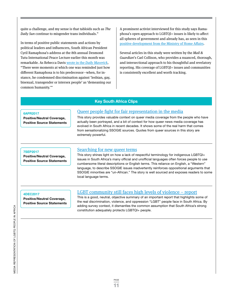quite a challenge, and my sense is that tabloids such as The Daily Sun continue to misgender trans individuals."

In terms of positive public statements and actions by political leaders and influencers, South African President Cyril Ramaphosa's address at the 8th annual Desmond Tutu International Peace Lecture earlier this month was remarkable. As Rebecca Davis wrote in the [Daily Maverick](https://www.dailymaverick.co.za/article/2018-10-08-ramaphosa-stays-mum-on-nene-as-he-delivers-tutu-lecture-with-forceful-focus-on-land/), "There were moments at which one was reminded just how different Ramaphosa is to his predecessor—when, for instance, he condemned discrimination against 'lesbian, gay, bisexual, transgender or intersex people' as 'demeaning our common humanity.'"

A prominent activist interviewed for this study says Ramaphosa's open approach to LGBTQI+ issues is likely to affect all spheres of government and already has, as seen in this [positive development from the Ministry of Home Affairs.](https://mg.co.za/article/2018-09-28-00-gigaba-rights-queer-affairs)

Several articles in this study were written by the Mail & Guardian's Carl Collison, who provides a nuanced, thorough, and intersectional approach to his thoughtful and revelatory reporting. His coverage of LGBTQI+ issues and communities is consistently excellent and worth tracking.

### **Key South Africa Clips**

**Positive/Neutral Coverage, Positive Source Statements**

# [Queer people fight for fair representation in the media](https://taboommrc.com/clip/queer-people-fight-for-fair-representation-in-the-media/) **6APR2017**

This story provides valuable context on queer media coverage from the people who have actually been portrayed, and a bit of context for how queer news media coverage has evolved in South Africa in recent decades. It shows some of the real harm that comes from sensationalizing SSOGIE sources. Quotes from queer sources in this story are extremely powerful.

### **7SEP2017**

**Positive/Neutral Coverage, Positive Source Statements**

### [Searching for new queer terms](https://taboommrc.com/clip/searching-for-new-queer-terms/)

This story shines light on how a lack of respectful terminology for indigenous LGBTQI+ issues in South Africa's many official and unofficial languages often forces people to use cumbersome literal descriptions or English terms. This reliance on English, a "Western" language, to describe SSOGIE issues inadvertently reinforces oppositional arguments that SSOGIE minorities are "un-African." The story is well sourced and exposes readers to some local language terms.

### **4DEC2017**

**Positive/Neutral Coverage, Positive Source Statements**

# [LGBT community still faces high levels of violence – report](https://taboommrc.com/clip/lgbt-community-still-faces-high-levels-of-violence-%c2%ad-report/)

This is a good, neutral, objective summary of an important report that highlights some of the real discrimination, violence, and oppression "LGBT" people face in South Africa. By adding survey context, it dismantles the common assumption that South Africa's strong constitution adequately protects LGBTQI+ people.